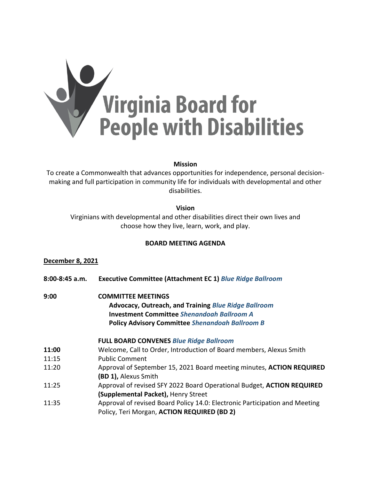

### **Mission**

To create a Commonwealth that advances opportunities for independence, personal decisionmaking and full participation in community life for individuals with developmental and other disabilities.

## **Vision**

Virginians with developmental and other disabilities direct their own lives and choose how they live, learn, work, and play.

# **BOARD MEETING AGENDA**

## **December 8, 2021**

- **8:00-8:45 a.m. Executive Committee (Attachment EC 1)** *Blue Ridge Ballroom*
- **9:00 COMMITTEE MEETINGS Advocacy, Outreach, and Training** *Blue Ridge Ballroom* **Investment Committee** *Shenandoah Ballroom A* **Policy Advisory Committee** *Shenandoah Ballroom B*

#### **FULL BOARD CONVENES** *Blue Ridge Ballroom*

- **11:00** Welcome, Call to Order, Introduction of Board members, Alexus Smith
- 11:15 Public Comment
- 11:20 Approval of September 15, 2021 Board meeting minutes, **ACTION REQUIRED (BD 1),** Alexus Smith
- 11:25 Approval of revised SFY 2022 Board Operational Budget, **ACTION REQUIRED (Supplemental Packet),** Henry Street
- 11:35 Approval of revised Board Policy 14.0: Electronic Participation and Meeting Policy, Teri Morgan, **ACTION REQUIRED (BD 2)**